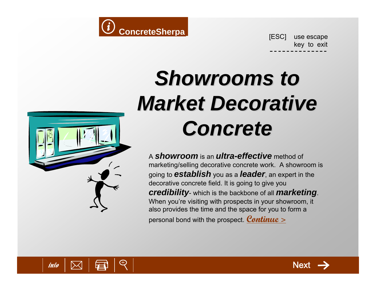

key to exit

# **Showrooms to** *Market Decorative Market Decorative Concrete Concrete*

A *showroom* is an *ultra-effective* method of marketing/selling decorative concrete work. A showroom is going to *establish* you as a *leader*, an expert in the decorative concrete field. It is going to give you *credibility*- which is the backbone of all *marketing*. When you're visiting with prospects in your showroom, it also provides the time and the space for you to form a personal bond with the prospect. **[Continue >](#page-1-0)**



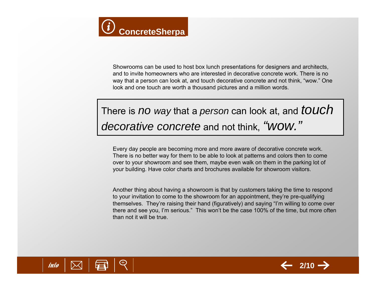<span id="page-1-0"></span>

Showrooms can be used to host box lunch presentations for designers and architects, and to invite homeowners who are interested in decorative concrete work. There is no way that a person can look at, and touch decorative concrete and not think, "wow." One look and one touch are worth a thousand pictures and a million words.

# There is *no way* that a *person* can look at, and *touch decorative concrete* and not think, *"wow."*

Every day people are becoming more and more aware of decorative concrete work. There is no better way for them to be able to look at patterns and colors then to come over to your showroom and see them, maybe even walk on them in the parking lot of your building. Have color charts and brochures available for showroom visitors.

Another thing about having a showroom is that by customers taking the time to respond to your invitation to come to the showroom for an appointment, they're pre-qualifying themselves. They're raising their hand (figuratively) and saying "I'm willing to come over there and see you, I'm serious." This won't be the case 100% of the time, but more often than not it will be true.



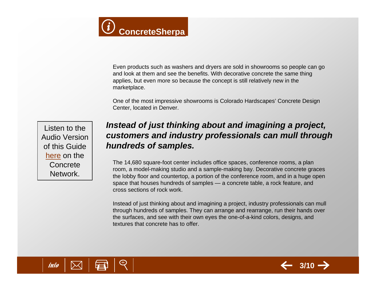

Even products such as washers and dryers are sold in showrooms so people can go and look at them and see the benefits. With decorative concrete the same thing applies, but even more so because the concept is still relatively new in the marketplace.

One of the most impressive showrooms is Colorado Hardscapes' Concrete Design Center, located in Denver.

Listen to the Audio Version of this Guide [here](http://www.concretenetwork.com/pod%5Fcast/showrooms_to_market_decorative_concrete.htm) on the **Concrete** Network.

## *Instead of just thinking about and imagining a project, customers and industry professionals can mull through hundreds of samples.*

The 14,680 square-foot center includes office spaces, conference rooms, a plan room, a model-making studio and a sample-making bay. Decorative concrete graces the lobby floor and countertop, a portion of the conference room, and in a huge open space that houses hundreds of samples — a concrete table, a rock feature, and cross sections of rock work.

Instead of just thinking about and imagining a project, industry professionals can mull through hundreds of samples. They can arrange and rearrange, run their hands over the surfaces, and see with their own eyes the one-of-a-kind colors, designs, and textures that concrete has to offer.



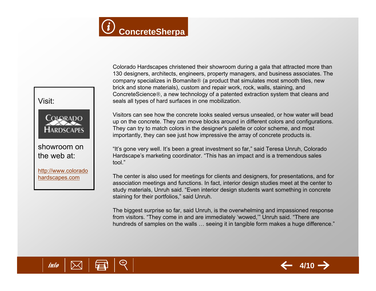

Visit:



### showroom onthe web at:

[http://www.colorado](http://www.coloradohardscapes.com/contact_us/design_center.html) [hardscapes.com](http://www.coloradohardscapes.com/contact_us/design_center.html)

Colorado Hardscapes christened their showroom during a gala that attracted more than 130 designers, architects, engineers, property managers, and business associates. The company specializes in Bomanite® (a product that simulates most smooth tiles, new brick and stone materials), custom and repair work, rock, walls, staining, and ConcreteScience®, a new technology of a patented extraction system that cleans and seals all types of hard surfaces in one mobilization.

Visitors can see how the concrete looks sealed versus unsealed, or how water will bead up on the concrete. They can move blocks around in different colors and configurations. They can try to match colors in the designer's palette or color scheme, and most importantly, they can see just how impressive the array of concrete products is.

"It's gone very well. It's been a great investment so far," said Teresa Unruh, Colorado Hardscape's marketing coordinator. "This has an impact and is a tremendous sales tool."

The center is also used for meetings for clients and designers, for presentations, and for association meetings and functions. In fact, interior design studies meet at the center to study materials, Unruh said. "Even interior design students want something in concrete staining for their portfolios," said Unruh.

The biggest surprise so far, said Unruh, is the overwhelming and impassioned response from visitors. "They come in and are immediately 'wowed,'" Unruh said. "There are hundreds of samples on the walls … seeing it in tangible form makes a huge difference."



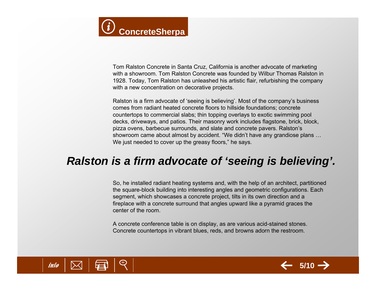

Tom Ralston Concrete in Santa Cruz, California is another advocate of marketing with a showroom. Tom Ralston Concrete was founded by Wilbur Thomas Ralston in 1928. Today, Tom Ralston has unleashed his artistic flair, refurbishing the company with a new concentration on decorative projects.

Ralston is a firm advocate of 'seeing is believing'. Most of the company's business comes from radiant heated concrete floors to hillside foundations; concrete countertops to commercial slabs; thin topping overlays to exotic swimming pool decks, driveways, and patios. Their masonry work includes flagstone, brick, block, pizza ovens, barbecue surrounds, and slate and concrete pavers. Ralston's showroom came about almost by accident. "We didn't have any grandiose plans … We just needed to cover up the greasy floors," he says.

# *Ralston is a firm advocate of 'seeing is believing'.*

So, he installed radiant heating systems and, with the help of an architect, partitioned the square-block building into interesting angles and geometric configurations. Each segment, which showcases a concrete project, tilts in its own direction and a fireplace with a concrete surround that angles upward like a pyramid graces the center of the room.

A concrete conference table is on display, as are various acid-stained stones. Concrete countertops in vibrant blues, reds, and browns adorn the restroom.



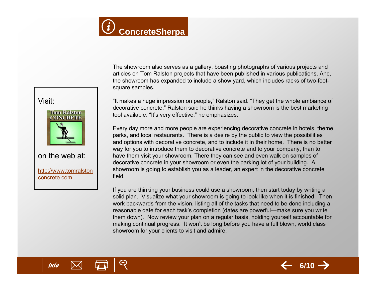



#### on the web at:

[http://www.tomralston](http://www.tomralstonconcrete.com/about-us.html) [concrete.com](http://www.tomralstonconcrete.com/about-us.html)

The showroom also serves as a gallery, boasting photographs of various projects and articles on Tom Ralston projects that have been published in various publications. And, the showroom has expanded to include a show yard, which includes racks of two-footsquare samples.

"It makes a huge impression on people," Ralston said. "They get the whole ambiance of decorative concrete." Ralston said he thinks having a showroom is the best marketing tool available. "It's very effective," he emphasizes.

Every day more and more people are experiencing decorative concrete in hotels, theme parks, and local restaurants. There is a desire by the public to view the possibilities and options with decorative concrete, and to include it in their home. There is no better way for you to introduce them to decorative concrete and to your company, than to have them visit your showroom. There they can see and even walk on samples of decorative concrete in your showroom or even the parking lot of your building. A showroom is going to establish you as a leader, an expert in the decorative concrete field.

If you are thinking your business could use a showroom, then start today by writing a solid plan. Visualize what your showroom is going to look like when it is finished. Then work backwards from the vision, listing all of the tasks that need to be done including a reasonable date for each task's completion (dates are powerful—make sure you write them down). Now review your plan on a regular basis, holding yourself accountable for making continual progress. It won't be long before you have a full blown, world class showroom for your clients to visit and admire.



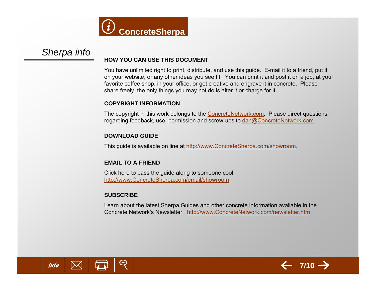

#### <span id="page-6-0"></span>*Sherpa info* **HOW YOU CAN USE THIS DOCUMENT**

You have unlimited right to print, distribute, and use this guide. E-mail it to a friend, put it on your website, or any other ideas you see fit. You can print it and post it on a job, at your favorite coffee shop, in your office, or get creative and engrave it in concrete. Please share freely, the only things you may not do is alter it or charge for it.

#### **COPYRIGHT INFORMATION**

The copyright in this work belongs to the **ConcreteNetwork.com.** Please direct questions regarding feedback, use, permission and screw-ups to [dan@ConcreteNetwork.com](mailto:dan@ConcreteNetwork.com).

#### **DOWNLOAD GUIDE**

This guide is available on line at http://www.ConcreteSherpa.com/showroom.

#### **EMAIL TO A FRIEND**

Click here to pass the guide along to someone cool. [http://www.ConcreteSherpa.com/email/showroom](http://www.concretesherpa.com/email/showroom)

#### **SUBSCRIBE**

Learn about the latest Sherpa Guides and other concrete information available in the Concrete Network's Newsletter. [http://www.ConcreteNetwork.com/newsletter.htm](http://www.concretenetwork.com/newsletter.htm)



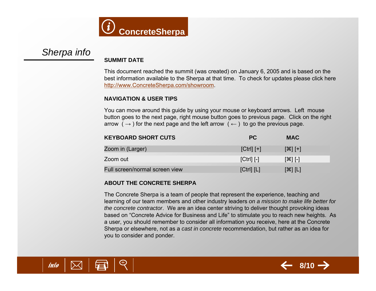

## *Sherpa info*

#### **SUMMIT DATE**

This document reached the summit (was created) on January 6, 2005 and is based on the best information available to the Sherpa at that time. To check for updates please click here [http://www.ConcreteSherpa.com/showroom](http://www.concretesherpa.com/showroom).

#### **NAVIGATION & USER TIPS**

You can move around this guide by using your mouse or keyboard arrows. Left mouse button goes to the next page, right mouse button goes to previous page. Click on the right arrow ( $\rightarrow$ ) for the next page and the left arrow ( $\leftarrow$ ) to go the previous page.

| <b>KEYBOARD SHORT CUTS</b>     | <b>PC</b>      | <b>MAC</b>                                                                                                                                                                                                                                                                                                            |
|--------------------------------|----------------|-----------------------------------------------------------------------------------------------------------------------------------------------------------------------------------------------------------------------------------------------------------------------------------------------------------------------|
| Zoom in (Larger)               | $[Ctrl]$ $[+]$ | $[$ $\frac{1}{2}$ $[$ $\frac{1}{2}$ $\frac{1}{2}$ $\frac{1}{2}$ $\frac{1}{2}$ $\frac{1}{2}$ $\frac{1}{2}$ $\frac{1}{2}$ $\frac{1}{2}$ $\frac{1}{2}$ $\frac{1}{2}$ $\frac{1}{2}$ $\frac{1}{2}$ $\frac{1}{2}$ $\frac{1}{2}$ $\frac{1}{2}$ $\frac{1}{2}$ $\frac{1}{2}$ $\frac{1}{2}$ $\frac{1}{2}$ $\frac{1}{2}$ $\frac$ |
| Zoom out                       | $[Ctrl]$ $[-]$ | $[$ $ $ $ $ $ $ $ $                                                                                                                                                                                                                                                                                                   |
| Full screen/normal screen view | [Ctrl] [L]     | [೫] [L]                                                                                                                                                                                                                                                                                                               |

#### **ABOUT THE CONCRETE SHERPA**

The Concrete Sherpa is a team of people that represent the experience, teaching and learning of our team members and other industry leaders *on a mission to make life better for the concrete contractor*. We are an idea center striving to deliver thought provoking ideas based on "Concrete Advice for Business and Life" to stimulate you to reach new heights. As a user, you should remember to consider all information you receive, here at the Concrete Sherpa or elsewhere, not as a *cast in concrete* recommendation, but rather as an idea for you to consider and ponder.



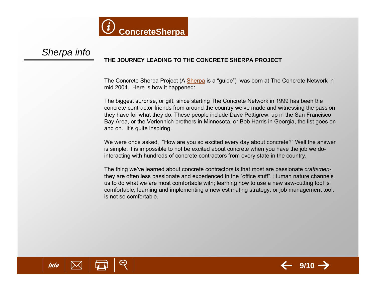

#### *Sherpa info* **THE JOURNEY LEADING TO THE CONCRETE SHERPA PROJECT**

The Concrete [Sherpa](http://en.wikipedia.org/wiki/Sherpa) Project (A Sherpa is a "guide") was born at The Concrete Network in mid 2004. Here is how it happened:

The biggest surprise, or gift, since starting The Concrete Network in 1999 has been the concrete contractor friends from around the country we've made and witnessing the passion they have for what they do. These people include Dave Pettigrew, up in the San Francisco Bay Area, or the Verlennich brothers in Minnesota, or Bob Harris in Georgia, the list goes on and on. It's quite inspiring.

We were once asked, "How are you so excited every day about concrete?" Well the answer is simple, it is impossible to not be excited about concrete when you have the job we dointeracting with hundreds of concrete contractors from every state in the country.

The thing we've learned about concrete contractors is that most are passionate *craftsmen*they are often less passionate and experienced in the "office stuff". Human nature channels us to do what we are most comfortable with; learning how to use a new saw-cutting tool is comfortable; learning and implementing a new estimating strategy, or job management tool, is not so comfortable.